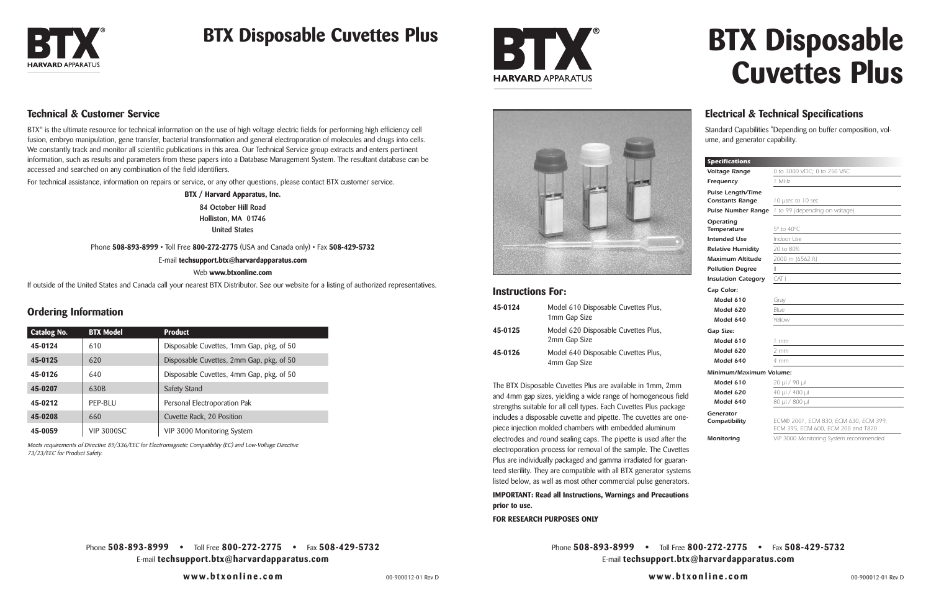Phone **508-893-8999 •** Toll Free **800-272-2775 •** Fax **508-429-5732** E-mail **techsupport.btx@harvardapparatus.com**

**www.btxonline.com**





The BTX Disposable Cuvettes Plus are available in 1mm, 2mm and 4mm gap sizes, yielding a wide range of homogeneous field strengths suitable for all cell types. Each Cuvettes Plus package includes a disposable cuvette and pipette. The cuvettes are onepiece injection molded chambers with embedded aluminum electrodes and round sealing caps. The pipette is used after the electroporation process for removal of the sample. The Cuvettes Plus are individually packaged and gamma irradiated for guaranteed sterility. They are compatible with all BTX generator systems listed below, as well as most other commercial pulse generators.

BTX<sup>®</sup> is the ultimate resource for technical information on the use of high voltage electric fields for performing high efficiency cell fusion, embryo manipulation, gene transfer, bacterial transformation and general electroporation of molecules and drugs into cells. We constantly track and monitor all scientific publications in this area. Our Technical Service group extracts and enters pertinent information, such as results and parameters from these papers into a Database Management System. The resultant database can be accessed and searched on any combination of the field identifiers.

#### **IMPORTANT: Read all Instructions, Warnings and Precautions prior to use.**

**FOR RESEARCH PURPOSES ONLY**

# **BTX Disposable Cuvettes Plus**

#### **Instructions For:**

| 45-0124 | Model 610 Disposable Cuvettes Plus,<br>1mm Gap Size |
|---------|-----------------------------------------------------|
| 45-0125 | Model 620 Disposable Cuvettes Plus,<br>2mm Gap Size |
| 45-0126 | Model 640 Disposable Cuvettes Plus,<br>4mm Gap Size |

#### **Technical & Customer Service**

For technical assistance, information on repairs or service, or any other questions, please contact BTX customer service.

**BTX / Harvard Apparatus, Inc. 84 October Hill Road Holliston, MA 01746 United States**

Phone **508-893-8999** • Toll Free **800-272-2775** (USA and Canada only) • Fax **508-429-5732**

#### E-mail **techsupport.btx@harvardapparatus.com**

Web **www.btxonline.com**

If outside of the United States and Canada call your nearest BTX Distributor. See our website for a listing of authorized representatives.

### **Electrical & Technical Specifications**

Standard Capabilities \*Depending on buffer composition, volume, and generator capability.

| Voltage Range              |                                                                             |  |
|----------------------------|-----------------------------------------------------------------------------|--|
|                            | 0 to 3000 VDC; 0 to 250 VAC                                                 |  |
| Frequency                  | 1 MHz                                                                       |  |
| <b>Pulse Length/Time</b>   |                                                                             |  |
| <b>Constants Range</b>     | 10 usec to 10 sec                                                           |  |
| <b>Pulse Number Range</b>  | 1 to 99 (depending on voltage)                                              |  |
| Operating                  |                                                                             |  |
| <b>Temperature</b>         | 5° to 40°C                                                                  |  |
| <b>Intended Use</b>        | Indoor Use                                                                  |  |
| <b>Relative Humidity</b>   | 20 to 80%                                                                   |  |
| Maximum Altitude           | 2000 m (6562 ft)                                                            |  |
| <b>Pollution Degree</b>    | $\mathbb{I}$                                                                |  |
| <b>Insulation Category</b> | CAT I                                                                       |  |
| Cap Color:                 |                                                                             |  |
| Model 610                  | Gray                                                                        |  |
| Model 620                  | Blue                                                                        |  |
| Model 640                  | Yellow                                                                      |  |
| Gap Size:                  |                                                                             |  |
| Model 610                  | 1 mm                                                                        |  |
| Model 620                  | 2 mm                                                                        |  |
| Model 640                  | 4 mm                                                                        |  |
| Minimum/Maximum Volume:    |                                                                             |  |
| Model 610                  | 20 µl / 90 µl                                                               |  |
| Model 620                  | 40 µl / 400 µl                                                              |  |
| Model 640                  | 80 µl / 800 µl                                                              |  |
| Generator                  |                                                                             |  |
| Compatibility              | ECM® 2001, ECM 830, ECM 630, ECM 399,<br>ECM 395, ECM 600, ECM 200 and T820 |  |
|                            | VIP 3000 Monitoring System recommended                                      |  |



### **BTX Disposable Cuvettes Plus**



| <b>Catalog No.</b> | <b>BTX Model</b>  | <b>Product</b>                           |
|--------------------|-------------------|------------------------------------------|
| 45-0124            | 610               | Disposable Cuvettes, 1mm Gap, pkg. of 50 |
| 45-0125            | 620               | Disposable Cuvettes, 2mm Gap, pkg. of 50 |
| 45-0126            | 640               | Disposable Cuvettes, 4mm Gap, pkg. of 50 |
| 45-0207            | 630B              | Safety Stand                             |
| 45-0212            | PEP-BLU           | Personal Electroporation Pak             |
| 45-0208            | 660               | Cuvette Rack, 20 Position                |
| 45-0059            | <b>VIP 3000SC</b> | VIP 3000 Monitoring System               |

Meets requirements of Directive 89/336/EEC for Electromagnetic Compatibility (EC) and Low-Voltage Directive 73/23/EEC for Product Safety.

#### **Ordering Information**